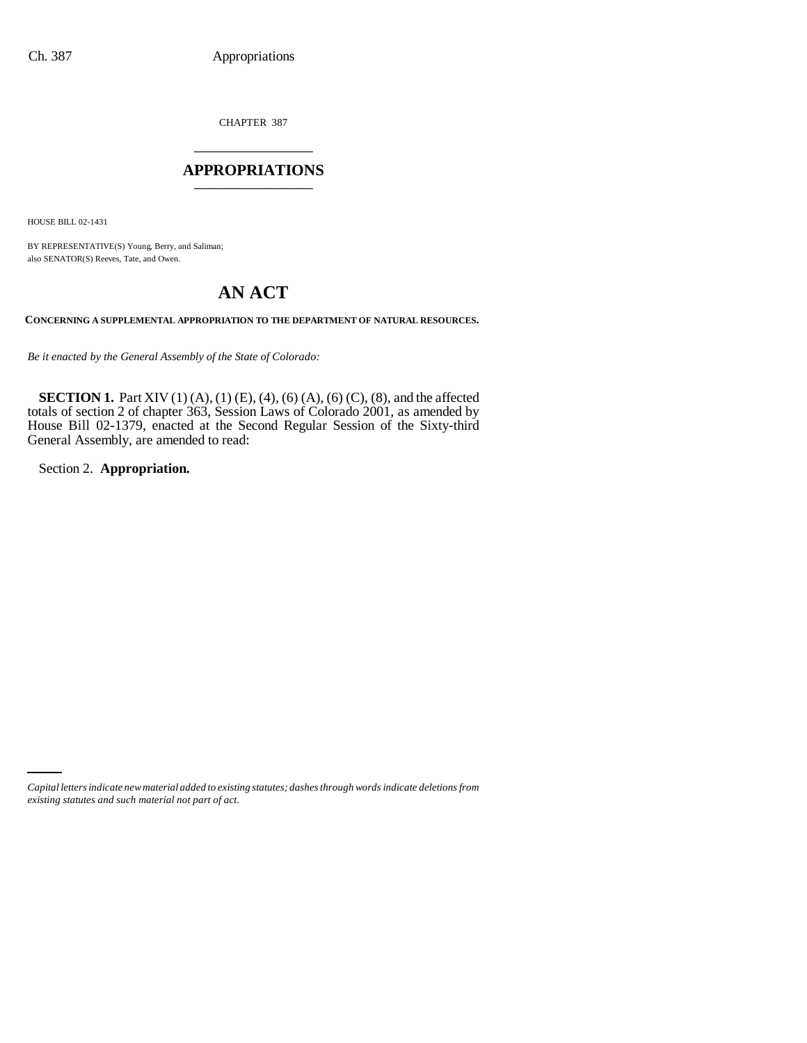CHAPTER 387 \_\_\_\_\_\_\_\_\_\_\_\_\_\_\_

### **APPROPRIATIONS** \_\_\_\_\_\_\_\_\_\_\_\_\_\_\_

HOUSE BILL 02-1431

BY REPRESENTATIVE(S) Young, Berry, and Saliman; also SENATOR(S) Reeves, Tate, and Owen.

# **AN ACT**

**CONCERNING A SUPPLEMENTAL APPROPRIATION TO THE DEPARTMENT OF NATURAL RESOURCES.**

*Be it enacted by the General Assembly of the State of Colorado:*

**SECTION 1.** Part XIV (1) (A), (1) (E), (4), (6) (A), (6) (C), (8), and the affected totals of section 2 of chapter 363, Session Laws of Colorado 2001, as amended by House Bill 02-1379, enacted at the Second Regular Session of the Sixty-third General Assembly, are amended to read:

Section 2. **Appropriation.**

*Capital letters indicate new material added to existing statutes; dashes through words indicate deletions from existing statutes and such material not part of act.*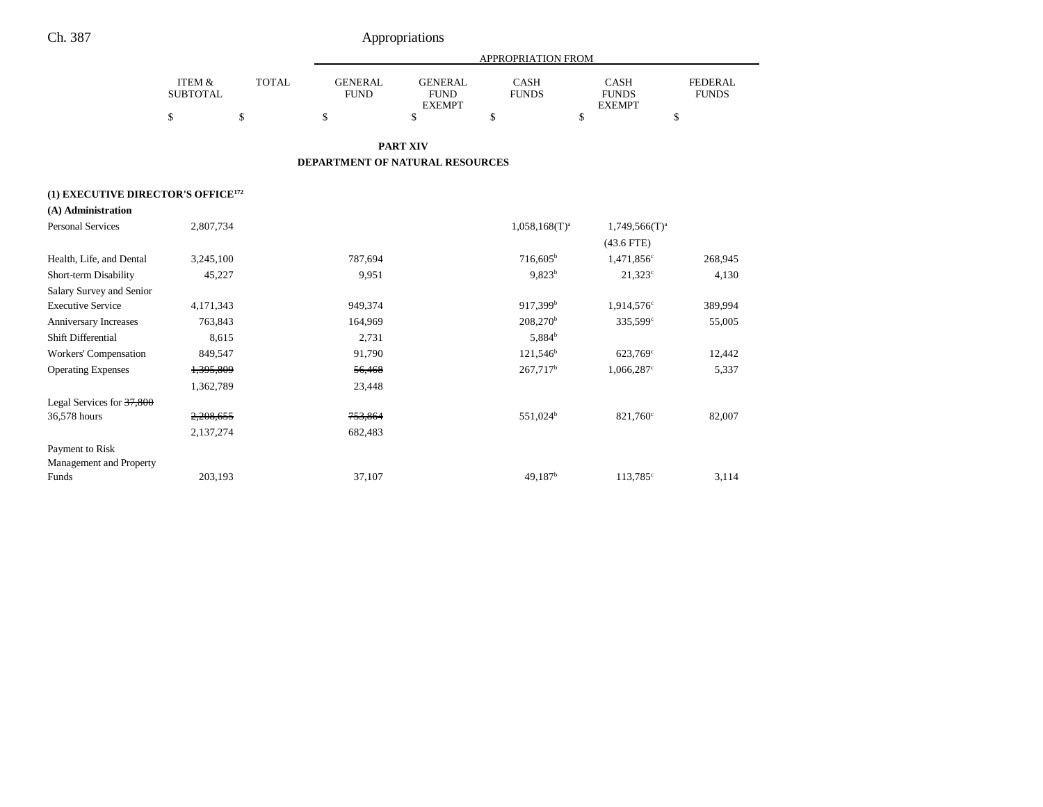|                                                |                                      |              | APPROPRIATION FROM                     |                                                |                             |                                       |                                |  |
|------------------------------------------------|--------------------------------------|--------------|----------------------------------------|------------------------------------------------|-----------------------------|---------------------------------------|--------------------------------|--|
|                                                | <b>ITEM &amp;</b><br><b>SUBTOTAL</b> | <b>TOTAL</b> | <b>GENERAL</b><br><b>FUND</b>          | <b>GENERAL</b><br><b>FUND</b><br><b>EXEMPT</b> | <b>CASH</b><br><b>FUNDS</b> | CASH<br><b>FUNDS</b><br><b>EXEMPT</b> | <b>FEDERAL</b><br><b>FUNDS</b> |  |
|                                                | \$                                   | \$           | \$                                     | \$                                             | \$                          | \$                                    | \$                             |  |
|                                                |                                      |              |                                        | <b>PART XIV</b>                                |                             |                                       |                                |  |
|                                                |                                      |              | <b>DEPARTMENT OF NATURAL RESOURCES</b> |                                                |                             |                                       |                                |  |
| (1) EXECUTIVE DIRECTOR'S OFFICE <sup>172</sup> |                                      |              |                                        |                                                |                             |                                       |                                |  |
| (A) Administration                             |                                      |              |                                        |                                                |                             |                                       |                                |  |
| <b>Personal Services</b>                       | 2,807,734                            |              |                                        |                                                | $1,058,168(T)^{a}$          | $1,749,566(T)^a$                      |                                |  |
|                                                |                                      |              |                                        |                                                |                             | $(43.6$ FTE)                          |                                |  |
| Health, Life, and Dental                       | 3,245,100                            |              | 787,694                                |                                                | $716,605^{\rm b}$           | 1,471,856 <sup>c</sup>                | 268,945                        |  |
| Short-term Disability                          | 45,227                               |              | 9,951                                  |                                                | $9,823^b$                   | $21,323^c$                            | 4,130                          |  |
| Salary Survey and Senior                       |                                      |              |                                        |                                                |                             |                                       |                                |  |
| <b>Executive Service</b>                       | 4,171,343                            |              | 949,374                                |                                                | $917,399$ <sup>b</sup>      | $1,914,576^{\circ}$                   | 389,994                        |  |
| Anniversary Increases                          | 763,843                              |              | 164,969                                |                                                | 208,270 <sup>b</sup>        | 335,599°                              | 55,005                         |  |
| Shift Differential                             | 8,615                                |              | 2,731                                  |                                                | 5,884 <sup>b</sup>          |                                       |                                |  |
| Workers' Compensation                          | 849,547                              |              | 91,790                                 |                                                | $121,546^b$                 | 623,769 <sup>c</sup>                  | 12,442                         |  |
| <b>Operating Expenses</b>                      | 1,395,809                            |              | 56,468                                 |                                                | 267,717 <sup>b</sup>        | 1,066,287 <sup>c</sup>                | 5,337                          |  |
|                                                | 1,362,789                            |              | 23,448                                 |                                                |                             |                                       |                                |  |
| Legal Services for 37,800                      |                                      |              |                                        |                                                |                             |                                       |                                |  |
| 36,578 hours                                   | 2,208,655                            |              | 753,864                                |                                                | 551,024 <sup>b</sup>        | 821,760 <sup>c</sup>                  | 82,007                         |  |
|                                                | 2,137,274                            |              | 682,483                                |                                                |                             |                                       |                                |  |
| Payment to Risk                                |                                      |              |                                        |                                                |                             |                                       |                                |  |
| Management and Property                        |                                      |              |                                        |                                                |                             |                                       |                                |  |
| Funds                                          | 203,193                              |              | 37,107                                 |                                                | $49,187$ <sup>b</sup>       | 113,785 <sup>c</sup>                  | 3,114                          |  |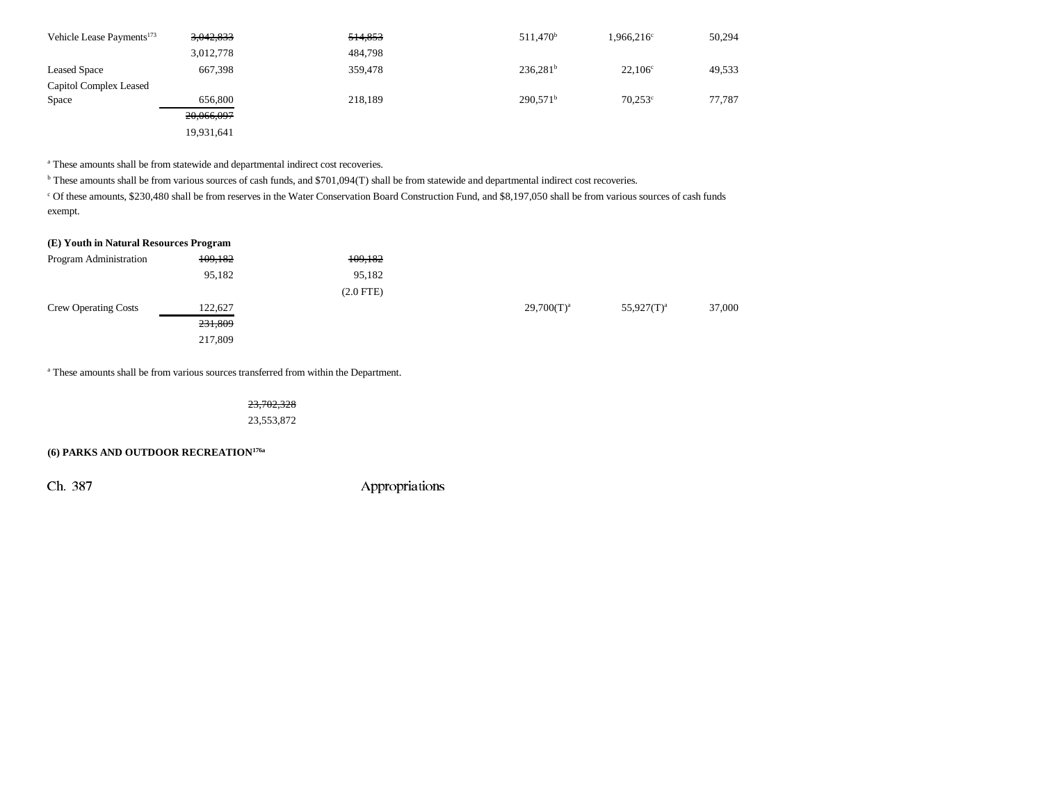| Vehicle Lease Payments <sup>173</sup> | 3,042,833  | 514,853 | 511,470 <sup>b</sup> | 1,966,216 <sup>c</sup> | 50,294 |
|---------------------------------------|------------|---------|----------------------|------------------------|--------|
|                                       | 3,012,778  | 484,798 |                      |                        |        |
| <b>Leased Space</b>                   | 667,398    | 359,478 | $236,281^b$          | $22,106^{\circ}$       | 49,533 |
| Capitol Complex Leased                |            |         |                      |                        |        |
| Space                                 | 656,800    | 218,189 | 290.571 <sup>b</sup> | $70.253^{\circ}$       | 77.787 |
|                                       | 20,066,097 |         |                      |                        |        |
|                                       | 19.931.641 |         |                      |                        |        |

<sup>a</sup> These amounts shall be from statewide and departmental indirect cost recoveries.

<sup>b</sup> These amounts shall be from various sources of cash funds, and \$701,094(T) shall be from statewide and departmental indirect cost recoveries.

c Of these amounts, \$230,480 shall be from reserves in the Water Conservation Board Construction Fund, and \$8,197,050 shall be from various sources of cash funds exempt.

| (E) Youth in Natural Resources Program |         |                |                 |               |        |
|----------------------------------------|---------|----------------|-----------------|---------------|--------|
| Program Administration                 | 109,182 | 109,182        |                 |               |        |
|                                        | 95,182  | 95,182         |                 |               |        |
|                                        |         | $(2.0$ FTE $)$ |                 |               |        |
| <b>Crew Operating Costs</b>            | 122,627 |                | $29,700(T)^{a}$ | $55,927(T)^a$ | 37,000 |
|                                        | 231,809 |                |                 |               |        |
|                                        | 217,809 |                |                 |               |        |

a These amounts shall be from various sources transferred from within the Department.

23,702,328 23,553,872

### **(6) PARKS AND OUTDOOR RECREATION176a**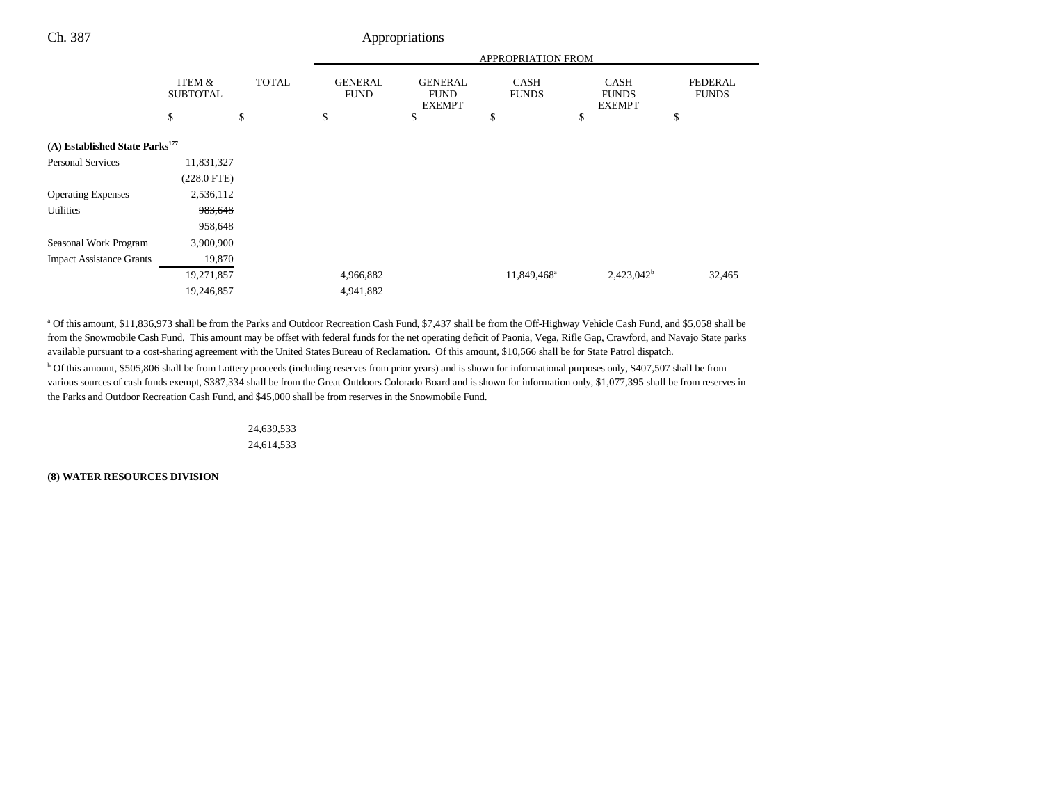|                                            |                           |              | <b>APPROPRIATION FROM</b>     |                                                |                             |                                              |                                |
|--------------------------------------------|---------------------------|--------------|-------------------------------|------------------------------------------------|-----------------------------|----------------------------------------------|--------------------------------|
|                                            | ITEM &<br><b>SUBTOTAL</b> | <b>TOTAL</b> | <b>GENERAL</b><br><b>FUND</b> | <b>GENERAL</b><br><b>FUND</b><br><b>EXEMPT</b> | <b>CASH</b><br><b>FUNDS</b> | <b>CASH</b><br><b>FUNDS</b><br><b>EXEMPT</b> | <b>FEDERAL</b><br><b>FUNDS</b> |
|                                            | \$                        | \$           | \$                            | \$                                             | \$                          | \$                                           | \$                             |
| (A) Established State Parks <sup>177</sup> |                           |              |                               |                                                |                             |                                              |                                |
| <b>Personal Services</b>                   | 11,831,327                |              |                               |                                                |                             |                                              |                                |
|                                            | $(228.0$ FTE)             |              |                               |                                                |                             |                                              |                                |
| <b>Operating Expenses</b>                  | 2,536,112                 |              |                               |                                                |                             |                                              |                                |
| Utilities                                  | 983,648                   |              |                               |                                                |                             |                                              |                                |
|                                            | 958,648                   |              |                               |                                                |                             |                                              |                                |
| Seasonal Work Program                      | 3,900,900                 |              |                               |                                                |                             |                                              |                                |
| <b>Impact Assistance Grants</b>            | 19,870                    |              |                               |                                                |                             |                                              |                                |
|                                            | 19,271,857                |              | 4,966,882                     |                                                | 11,849,468 <sup>a</sup>     | 2,423,042 <sup>b</sup>                       | 32,465                         |
|                                            | 19,246,857                |              | 4,941,882                     |                                                |                             |                                              |                                |

a Of this amount, \$11,836,973 shall be from the Parks and Outdoor Recreation Cash Fund, \$7,437 shall be from the Off-Highway Vehicle Cash Fund, and \$5,058 shall be from the Snowmobile Cash Fund. This amount may be offset with federal funds for the net operating deficit of Paonia, Vega, Rifle Gap, Crawford, and Navajo State parks available pursuant to a cost-sharing agreement with the United States Bureau of Reclamation. Of this amount, \$10,566 shall be for State Patrol dispatch. b Of this amount, \$505,806 shall be from Lottery proceeds (including reserves from prior years) and is shown for informational purposes only, \$407,507 shall be from various sources of cash funds exempt, \$387,334 shall be from the Great Outdoors Colorado Board and is shown for information only, \$1,077,395 shall be from reserves in the Parks and Outdoor Recreation Cash Fund, and \$45,000 shall be from reserves in the Snowmobile Fund.

> 24,639,533 24,614,533

**(8) WATER RESOURCES DIVISION**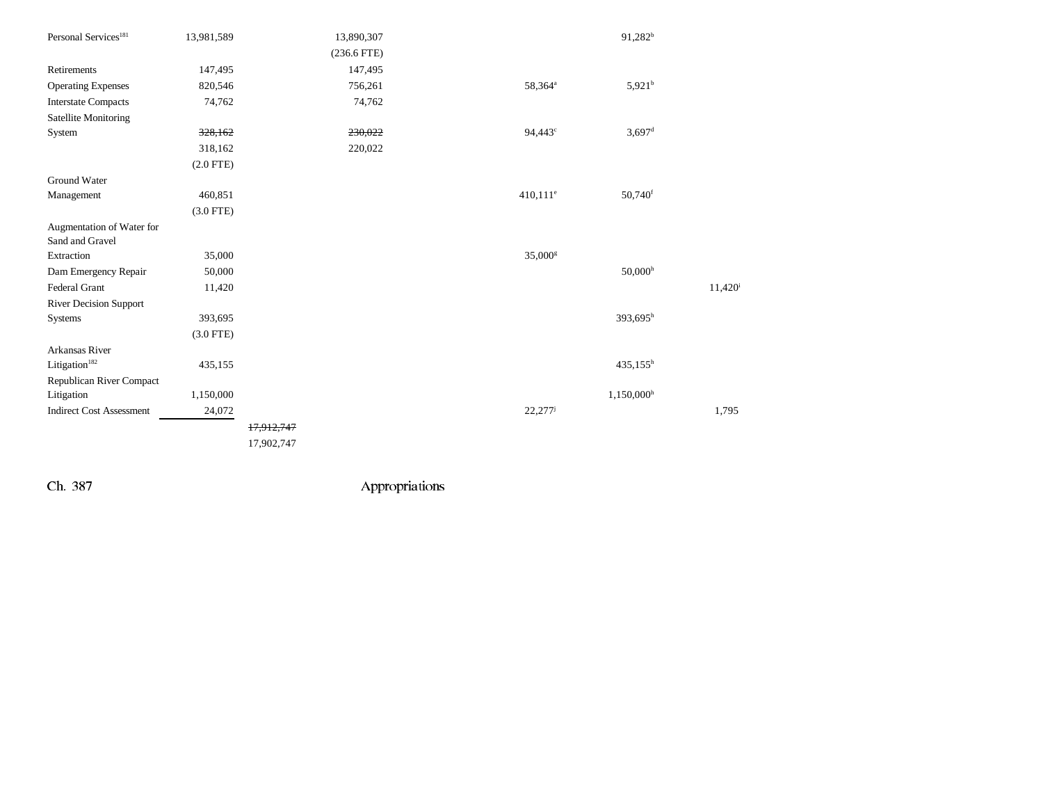| Personal Services <sup>181</sup>             | 13,981,589  |            | 13,890,307    |                        | 91,282 <sup>b</sup>   |        |
|----------------------------------------------|-------------|------------|---------------|------------------------|-----------------------|--------|
|                                              |             |            | $(236.6$ FTE) |                        |                       |        |
| Retirements                                  | 147,495     |            | 147,495       |                        |                       |        |
| <b>Operating Expenses</b>                    | 820,546     |            | 756,261       | 58,364 <sup>a</sup>    | $5,921^b$             |        |
| <b>Interstate Compacts</b>                   | 74,762      |            | 74,762        |                        |                       |        |
| <b>Satellite Monitoring</b>                  |             |            |               |                        |                       |        |
| System                                       | 328,162     |            | 230,022       | 94,443 <sup>c</sup>    | $3,697$ <sup>d</sup>  |        |
|                                              | 318,162     |            | 220,022       |                        |                       |        |
|                                              | $(2.0$ FTE) |            |               |                        |                       |        |
| Ground Water                                 |             |            |               |                        |                       |        |
| Management                                   | 460,851     |            |               | $410,111$ <sup>e</sup> | $50,740$ <sup>f</sup> |        |
|                                              | $(3.0$ FTE) |            |               |                        |                       |        |
| Augmentation of Water for<br>Sand and Gravel |             |            |               |                        |                       |        |
| Extraction                                   | 35,000      |            |               | 35,000 <sup>s</sup>    |                       |        |
| Dam Emergency Repair                         | 50,000      |            |               |                        | $50,000$ <sup>h</sup> |        |
| Federal Grant                                | 11,420      |            |               |                        |                       | 11,420 |
| <b>River Decision Support</b>                |             |            |               |                        |                       |        |
| Systems                                      | 393,695     |            |               |                        | 393,695h              |        |
|                                              | $(3.0$ FTE) |            |               |                        |                       |        |
| Arkansas River                               |             |            |               |                        |                       |        |
| Litigation <sup>182</sup>                    | 435,155     |            |               |                        | $435,155^h$           |        |
| Republican River Compact                     |             |            |               |                        |                       |        |
| Litigation                                   | 1,150,000   |            |               |                        | 1,150,000h            |        |
| <b>Indirect Cost Assessment</b>              | 24,072      |            |               | 22,277                 |                       | 1,795  |
|                                              |             | 17,912,747 |               |                        |                       |        |
|                                              |             | 17,902,747 |               |                        |                       |        |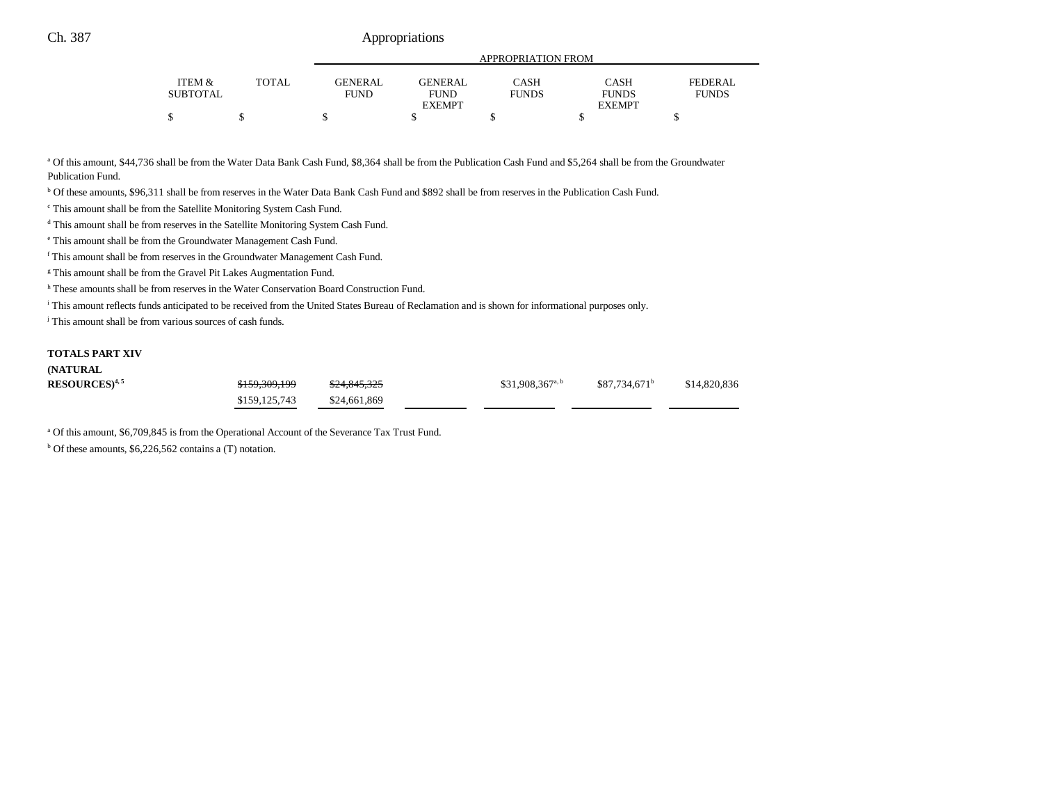|                   |              |             | APPROPRIATION FROM |              |               |                |  |  |
|-------------------|--------------|-------------|--------------------|--------------|---------------|----------------|--|--|
|                   |              |             |                    |              |               |                |  |  |
| <b>ITEM &amp;</b> | <b>TOTAL</b> | GENER AL    | <b>GENERAL</b>     | CASH         | CASH          | <b>FEDERAL</b> |  |  |
| <b>SUBTOTAL</b>   |              | <b>FUND</b> | <b>FUND</b>        | <b>FUNDS</b> | <b>FUNDS</b>  | <b>FUNDS</b>   |  |  |
|                   |              |             | <b>EXEMPT</b>      |              | <b>EXEMPT</b> |                |  |  |
| ጦ                 |              |             |                    |              |               |                |  |  |

a Of this amount, \$44,736 shall be from the Water Data Bank Cash Fund, \$8,364 shall be from the Publication Cash Fund and \$5,264 shall be from the Groundwater Publication Fund.

b Of these amounts, \$96,311 shall be from reserves in the Water Data Bank Cash Fund and \$892 shall be from reserves in the Publication Cash Fund.

c This amount shall be from the Satellite Monitoring System Cash Fund.

d This amount shall be from reserves in the Satellite Monitoring System Cash Fund.

e This amount shall be from the Groundwater Management Cash Fund.

f This amount shall be from reserves in the Groundwater Management Cash Fund.

<sup>g</sup> This amount shall be from the Gravel Pit Lakes Augmentation Fund.

h These amounts shall be from reserves in the Water Conservation Board Construction Fund.

i This amount reflects funds anticipated to be received from the United States Bureau of Reclamation and is shown for informational purposes only.

<sup>j</sup> This amount shall be from various sources of cash funds.

### **TOTALS PART XIV**

**(NATURAL**

| (NATURAL                      |                          |              |                              |                           |              |
|-------------------------------|--------------------------|--------------|------------------------------|---------------------------|--------------|
| $\mathrm{RESOURCES})^{4,\,5}$ | <del>\$159,309,199</del> | \$24,845,325 | \$31,908,367 <sup>a, b</sup> | \$87.734.671 <sup>b</sup> | \$14,820,836 |
|                               | \$159,125,743            | \$24,661,869 |                              |                           |              |

<sup>a</sup> Of this amount, \$6,709,845 is from the Operational Account of the Severance Tax Trust Fund.

 $b$  Of these amounts, \$6,226,562 contains a (T) notation.